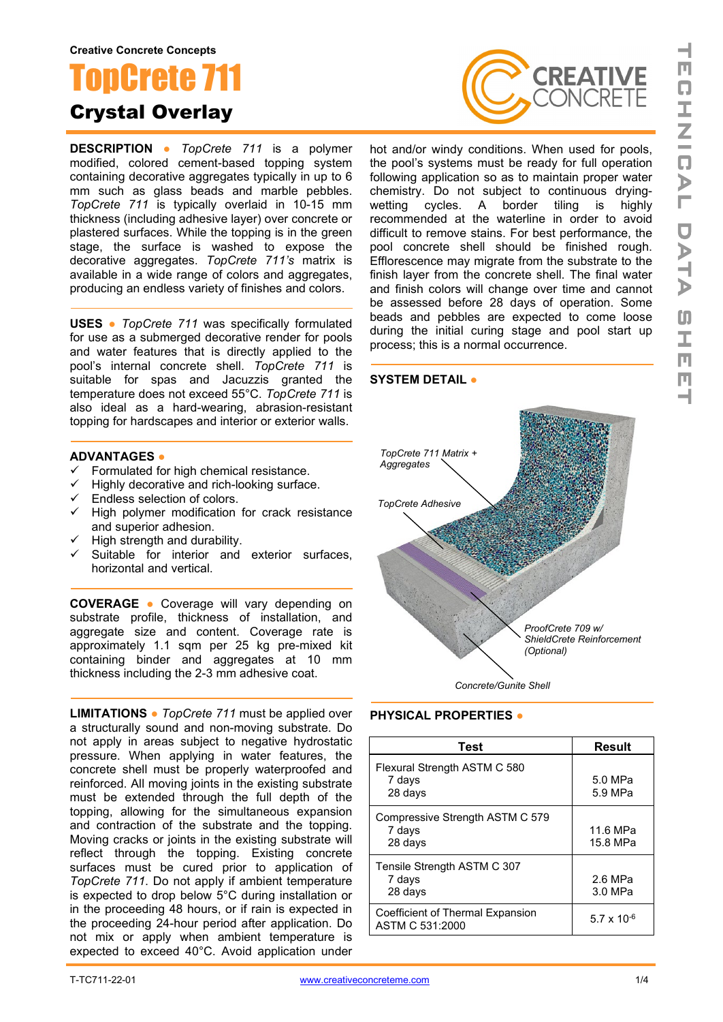# onCrete 7 Crystal Overlay

**DESCRIPTION ●** *TopCrete 711* is a polymer modified, colored cement-based topping system containing decorative aggregates typically in up to 6 mm such as glass beads and marble pebbles. *TopCrete 711* is typically overlaid in 10-15 mm thickness (including adhesive layer) over concrete or plastered surfaces. While the topping is in the green stage, the surface is washed to expose the decorative aggregates. *TopCrete 711's* matrix is available in a wide range of colors and aggregates. producing an endless variety of finishes and colors.

**USES ●** *TopCrete 711* was specifically formulated for use as a submerged decorative render for pools and water features that is directly applied to the pool's internal concrete shell. *TopCrete 711* is suitable for spas and Jacuzzis granted the temperature does not exceed 55°C. *TopCrete 711* is also ideal as a hard-wearing, abrasion-resistant topping for hardscapes and interior or exterior walls.

### **ADVANTAGES ●**

- $\checkmark$  Formulated for high chemical resistance.
- $\checkmark$  Highly decorative and rich-looking surface.
- $\checkmark$  Endless selection of colors.
- $\checkmark$  High polymer modification for crack resistance and superior adhesion.
- $\checkmark$  High strength and durability.
- Suitable for interior and exterior surfaces, horizontal and vertical.

**COVERAGE ●** Coverage will vary depending on substrate profile, thickness of installation, and aggregate size and content. Coverage rate is approximately 1.1 sqm per 25 kg pre-mixed kit containing binder and aggregates at 10 mm thickness including the 2-3 mm adhesive coat.

**LIMITATIONS ●** *TopCrete 711* must be applied over a structurally sound and non-moving substrate. Do not apply in areas subject to negative hydrostatic pressure. When applying in water features, the concrete shell must be properly waterproofed and reinforced. All moving joints in the existing substrate must be extended through the full depth of the topping, allowing for the simultaneous expansion and contraction of the substrate and the topping. Moving cracks or joints in the existing substrate will reflect through the topping. Existing concrete surfaces must be cured prior to application of *TopCrete 711*. Do not apply if ambient temperature is expected to drop below 5°C during installation or in the proceeding 48 hours, or if rain is expected in the proceeding 24-hour period after application. Do not mix or apply when ambient temperature is expected to exceed 40°C. Avoid application under



hot and/or windy conditions. When used for pools, the pool's systems must be ready for full operation following application so as to maintain proper water chemistry. Do not subject to continuous dryingwetting cycles. A border tiling recommended at the waterline in order to avoid difficult to remove stains. For best performance, the pool concrete shell should be finished rough. Efflorescence may migrate from the substrate to the finish layer from the concrete shell. The final water and finish colors will change over time and cannot be assessed before 28 days of operation. Some beads and pebbles are expected to come loose during the initial curing stage and pool start up process; this is a normal occurrence.

## **SYSTEM DETAIL ●**



**PHYSICAL PROPERTIES ●**

| <b>Test</b>                                          | <b>Result</b>        |
|------------------------------------------------------|----------------------|
| Flexural Strength ASTM C 580<br>7 days<br>28 days    | 5.0 MPa<br>5.9 MPa   |
| Compressive Strength ASTM C 579<br>7 days<br>28 days | 11.6 MPa<br>15.8 MPa |
| Tensile Strength ASTM C 307<br>7 days<br>28 days     | 2.6 MPa<br>3.0 MPa   |
| Coefficient of Thermal Expansion<br>ASTM C 531:2000  | 5.7 x 10 $-6$        |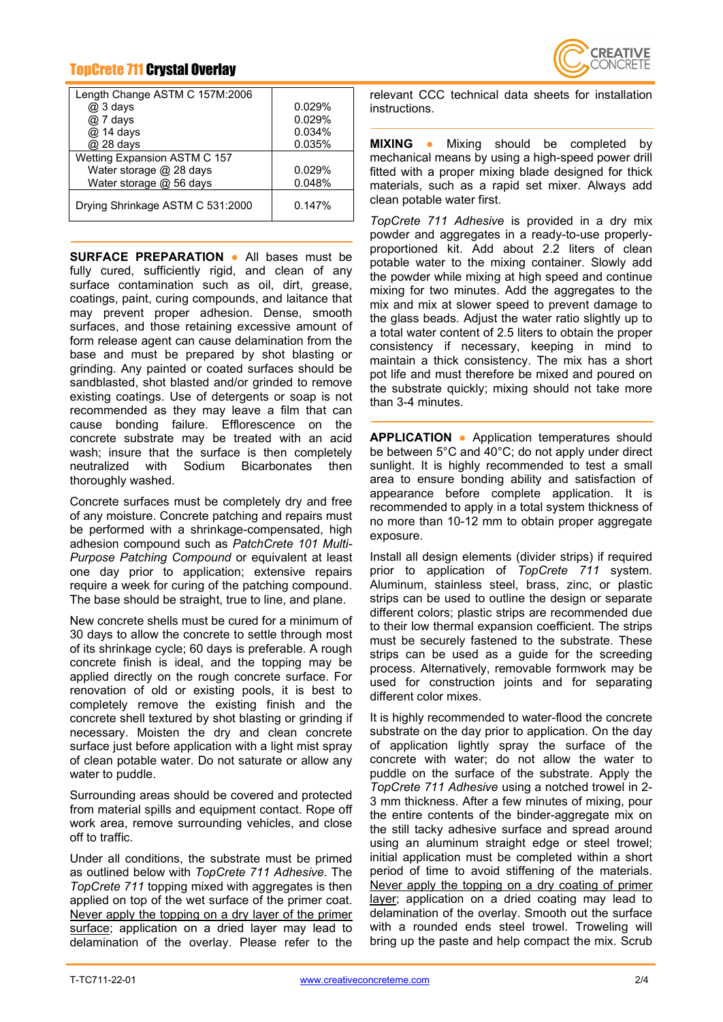# TopCrete 711 Crystal Overlay

| Length Change ASTM C 157M:2006   |        |
|----------------------------------|--------|
| $@3$ days                        | 0.029% |
| @ 7 days                         | 0.029% |
| @ 14 days                        | 0.034% |
| @ 28 days                        | 0.035% |
| Wetting Expansion ASTM C 157     |        |
| Water storage @ 28 days          | 0.029% |
| Water storage @ 56 days          | 0.048% |
| Drying Shrinkage ASTM C 531:2000 | 0.147% |

**SURFACE PREPARATION ●** All bases must be fully cured, sufficiently rigid, and clean of any surface contamination such as oil, dirt, grease, coatings, paint, curing compounds, and laitance that may prevent proper adhesion. Dense, smooth surfaces, and those retaining excessive amount of form release agent can cause delamination from the base and must be prepared by shot blasting or grinding. Any painted or coated surfaces should be sandblasted, shot blasted and/or grinded to remove existing coatings. Use of detergents or soap is not recommended as they may leave a film that can cause bonding failure. Efflorescence on the concrete substrate may be treated with an acid wash; insure that the surface is then completely neutralized with Sodium Bicarbonates then thoroughly washed.

Concrete surfaces must be completely dry and free of any moisture. Concrete patching and repairs must be performed with a shrinkage-compensated, high adhesion compound such as *PatchCrete 101 Multi-Purpose Patching Compound* or equivalent at least one day prior to application; extensive repairs require a week for curing of the patching compound. The base should be straight, true to line, and plane.

New concrete shells must be cured for a minimum of 30 days to allow the concrete to settle through most of its shrinkage cycle; 60 days is preferable. A rough concrete finish is ideal, and the topping may be applied directly on the rough concrete surface. For renovation of old or existing pools, it is best to completely remove the existing finish and the concrete shell textured by shot blasting or grinding if necessary. Moisten the dry and clean concrete surface just before application with a light mist spray of clean potable water. Do not saturate or allow any water to puddle.

Surrounding areas should be covered and protected from material spills and equipment contact. Rope off work area, remove surrounding vehicles, and close off to traffic.

Under all conditions, the substrate must be primed as outlined below with *TopCrete 711 Adhesive*. The *TopCrete 711* topping mixed with aggregates is then applied on top of the wet surface of the primer coat. Never apply the topping on a dry layer of the primer surface; application on a dried layer may lead to delamination of the overlay. Please refer to the



relevant CCC technical data sheets for installation instructions.

**MIXING ●** Mixing should be completed by mechanical means by using a high-speed power drill fitted with a proper mixing blade designed for thick materials, such as a rapid set mixer. Always add clean potable water first.

*TopCrete 711 Adhesive* is provided in a dry mix powder and aggregates in a ready-to-use properlyproportioned kit. Add about 2.2 liters of clean potable water to the mixing container. Slowly add the powder while mixing at high speed and continue mixing for two minutes. Add the aggregates to the mix and mix at slower speed to prevent damage to the glass beads. Adjust the water ratio slightly up to a total water content of 2.5 liters to obtain the proper consistency if necessary, keeping in mind to maintain a thick consistency. The mix has a short pot life and must therefore be mixed and poured on the substrate quickly; mixing should not take more than 3-4 minutes.

**APPLICATION ●** Application temperatures should be between 5°C and 40°C; do not apply under direct sunlight. It is highly recommended to test a small area to ensure bonding ability and satisfaction of appearance before complete application. It is recommended to apply in a total system thickness of no more than 10-12 mm to obtain proper aggregate exposure.

Install all design elements (divider strips) if required prior to application of *TopCrete 711* system. Aluminum, stainless steel, brass, zinc, or plastic strips can be used to outline the design or separate different colors; plastic strips are recommended due to their low thermal expansion coefficient. The strips must be securely fastened to the substrate. These strips can be used as a guide for the screeding process. Alternatively, removable formwork may be used for construction joints and for separating different color mixes.

It is highly recommended to water-flood the concrete substrate on the day prior to application. On the day of application lightly spray the surface of the concrete with water; do not allow the water to puddle on the surface of the substrate. Apply the *TopCrete 711 Adhesive* using a notched trowel in 2- 3 mm thickness. After a few minutes of mixing, pour the entire contents of the binder-aggregate mix on the still tacky adhesive surface and spread around using an aluminum straight edge or steel trowel; initial application must be completed within a short period of time to avoid stiffening of the materials. Never apply the topping on a dry coating of primer layer; application on a dried coating may lead to delamination of the overlay. Smooth out the surface with a rounded ends steel trowel. Troweling will bring up the paste and help compact the mix. Scrub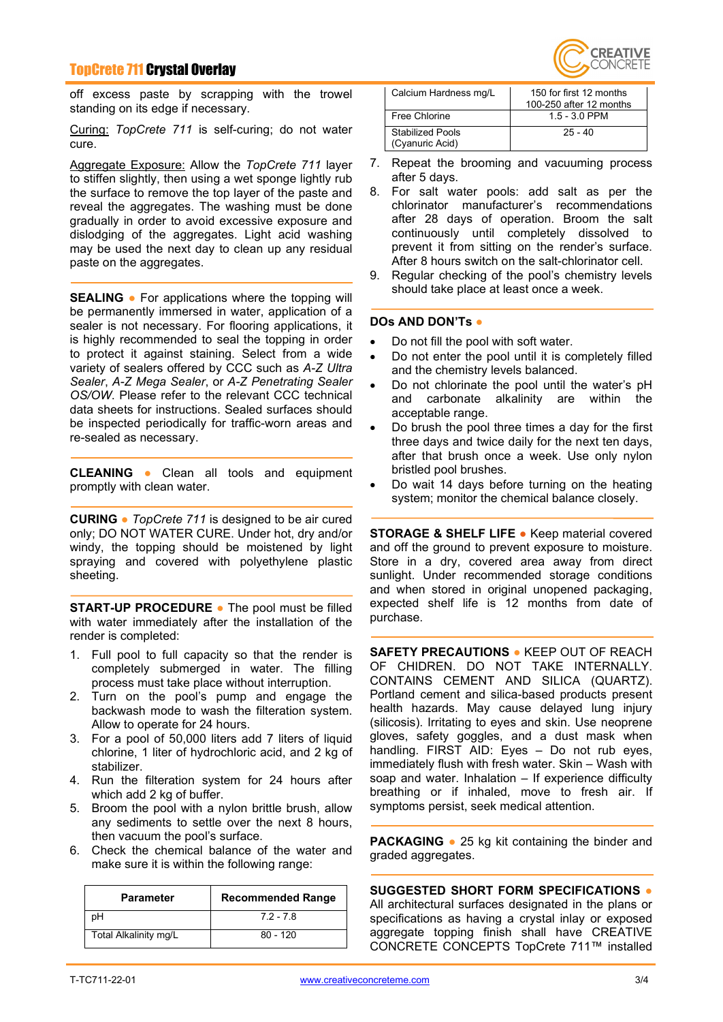## TopCrete 711 Crystal Overlay

off excess paste by scrapping with the trowel standing on its edge if necessary.

Curing: *TopCrete 711* is self-curing; do not water cure.

Aggregate Exposure: Allow the *TopCrete 711* layer to stiffen slightly, then using a wet sponge lightly rub the surface to remove the top layer of the paste and reveal the aggregates. The washing must be done gradually in order to avoid excessive exposure and dislodging of the aggregates. Light acid washing may be used the next day to clean up any residual paste on the aggregates.

**SEALING ●** For applications where the topping will be permanently immersed in water, application of a sealer is not necessary. For flooring applications, it is highly recommended to seal the topping in order to protect it against staining. Select from a wide variety of sealers offered by CCC such as *A-Z Ultra Sealer*, *A-Z Mega Sealer*, or *A-Z Penetrating Sealer OS/OW*. Please refer to the relevant CCC technical data sheets for instructions. Sealed surfaces should be inspected periodically for traffic-worn areas and re-sealed as necessary.

**CLEANING ●** Clean all tools and equipment promptly with clean water.

**CURING ●** *TopCrete 711* is designed to be air cured only; DO NOT WATER CURE. Under hot, dry and/or windy, the topping should be moistened by light spraying and covered with polyethylene plastic sheeting.

**START-UP PROCEDURE ●** The pool must be filled with water immediately after the installation of the render is completed:

- 1. Full pool to full capacity so that the render is completely submerged in water. The filling process must take place without interruption.
- 2. Turn on the pool's pump and engage the backwash mode to wash the filteration system. Allow to operate for 24 hours.
- 3. For a pool of 50,000 liters add 7 liters of liquid chlorine, 1 liter of hydrochloric acid, and 2 kg of stabilizer.
- 4. Run the filteration system for 24 hours after which add 2 kg of buffer.
- 5. Broom the pool with a nylon brittle brush, allow any sediments to settle over the next 8 hours, then vacuum the pool's surface.
- 6. Check the chemical balance of the water and make sure it is within the following range:

| <b>Parameter</b>      | <b>Recommended Range</b> |
|-----------------------|--------------------------|
| pН                    | $72 - 78$                |
| Total Alkalinity mg/L | $80 - 120$               |



| Calcium Hardness mg/L                      | 150 for first 12 months<br>100-250 after 12 months |
|--------------------------------------------|----------------------------------------------------|
| Free Chlorine                              | $1.5 - 3.0$ PPM                                    |
| <b>Stabilized Pools</b><br>(Cyanuric Acid) | $25 - 40$                                          |

- 7. Repeat the brooming and vacuuming process after 5 days.
- 8. For salt water pools: add salt as per the chlorinator manufacturer's recommendations after 28 days of operation. Broom the salt continuously until completely dissolved to prevent it from sitting on the render's surface. After 8 hours switch on the salt-chlorinator cell.
- 9. Regular checking of the pool's chemistry levels should take place at least once a week.

#### **DOs AND DON'Ts ●**

- Do not fill the pool with soft water.
- Do not enter the pool until it is completely filled and the chemistry levels balanced.
- Do not chlorinate the pool until the water's pH<br>and carbonate alkalinity are within the alkalinity are within the acceptable range.
- Do brush the pool three times a day for the first three days and twice daily for the next ten days, after that brush once a week. Use only nylon bristled pool brushes.
- Do wait 14 days before turning on the heating system; monitor the chemical balance closely.

**STORAGE & SHELF LIFE ●** Keep material covered and off the ground to prevent exposure to moisture. Store in a dry, covered area away from direct sunlight. Under recommended storage conditions and when stored in original unopened packaging, expected shelf life is 12 months from date of purchase.

**SAFETY PRECAUTIONS ●** KEEP OUT OF REACH OF CHIDREN. DO NOT TAKE INTERNALLY. CONTAINS CEMENT AND SILICA (QUARTZ). Portland cement and silica-based products present health hazards. May cause delayed lung injury (silicosis). Irritating to eyes and skin. Use neoprene gloves, safety goggles, and a dust mask when handling. FIRST AID: Eyes – Do not rub eyes, immediately flush with fresh water. Skin – Wash with soap and water. Inhalation – If experience difficulty breathing or if inhaled, move to fresh air. If symptoms persist, seek medical attention.

**PACKAGING ●** 25 kg kit containing the binder and graded aggregates.

**SUGGESTED SHORT FORM SPECIFICATIONS ●** All architectural surfaces designated in the plans or specifications as having a crystal inlay or exposed aggregate topping finish shall have CREATIVE CONCRETE CONCEPTS TopCrete 711™ installed